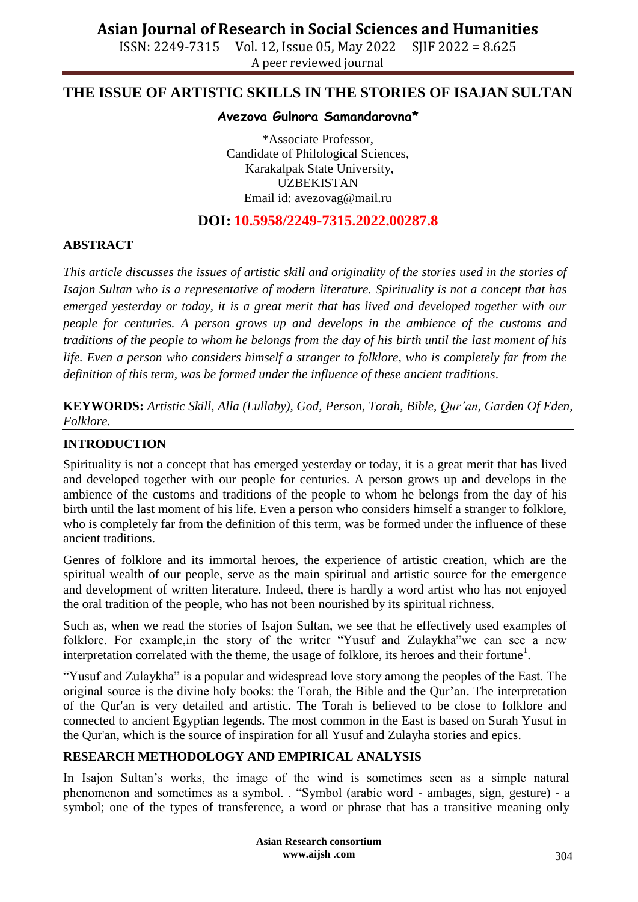ISSN: 2249-7315 Vol. 12, Issue 05, May 2022 SJIF 2022 = 8.625 A peer reviewed journal

## **THE ISSUE OF ARTISTIC SKILLS IN THE STORIES OF ISAJAN SULTAN**

### **Avezova Gulnora Samandarovna\***

\*Associate Professor, Candidate of Philological Sciences, Karakalpak State University, UZBEKISTAN Email id: [avezovag@mail.ru](mailto:avezovag@mail.ru)

### **DOI: 10.5958/2249-7315.2022.00287.8**

#### **ABSTRACT**

*This article discusses the issues of artistic skill and originality of the stories used in the stories of Isajon Sultan who is a representative of modern literature. Spirituality is not a concept that has emerged yesterday or today, it is a great merit that has lived and developed together with our people for centuries. A person grows up and develops in the ambience of the customs and traditions of the people to whom he belongs from the day of his birth until the last moment of his life. Even a person who considers himself a stranger to folklore, who is completely far from the definition of this term, was be formed under the influence of these ancient traditions*.

**KEYWORDS:** *Artistic Skill, Alla (Lullaby), God, Person, Torah, Bible, Qur'an, Garden Of Eden, Folklore.*

#### **INTRODUCTION**

Spirituality is not a concept that has emerged yesterday or today, it is a great merit that has lived and developed together with our people for centuries. A person grows up and develops in the ambience of the customs and traditions of the people to whom he belongs from the day of his birth until the last moment of his life. Even a person who considers himself a stranger to folklore, who is completely far from the definition of this term, was be formed under the influence of these ancient traditions.

Genres of folklore and its immortal heroes, the experience of artistic creation, which are the spiritual wealth of our people, serve as the main spiritual and artistic source for the emergence and development of written literature. Indeed, there is hardly a word artist who has not enjoyed the oral tradition of the people, who has not been nourished by its spiritual richness.

Such as, when we read the stories of Isajon Sultan, we see that he effectively used examples of folklore. For example,in the story of the writer "Yusuf and Zulaykha"we can see a new interpretation correlated with the theme, the usage of folklore, its heroes and their fortune<sup>1</sup>.

"Yusuf and Zulaykha" is a popular and widespread love story among the peoples of the East. The original source is the divine holy books: the Torah, the Bible and the Qur'an. The interpretation of the Qur'an is very detailed and artistic. The Torah is believed to be close to folklore and connected to ancient Egyptian legends. The most common in the East is based on Surah Yusuf in the Qur'an, which is the source of inspiration for all Yusuf and Zulayha stories and epics.

#### **RESEARCH METHODOLOGY AND EMPIRICAL ANALYSIS**

In Isajon Sultan's works, the image of the wind is sometimes seen as a simple natural phenomenon and sometimes as a symbol. . "Symbol (arabic word - ambages, sign, gesture) - a symbol; one of the types of transference, a word or phrase that has a transitive meaning only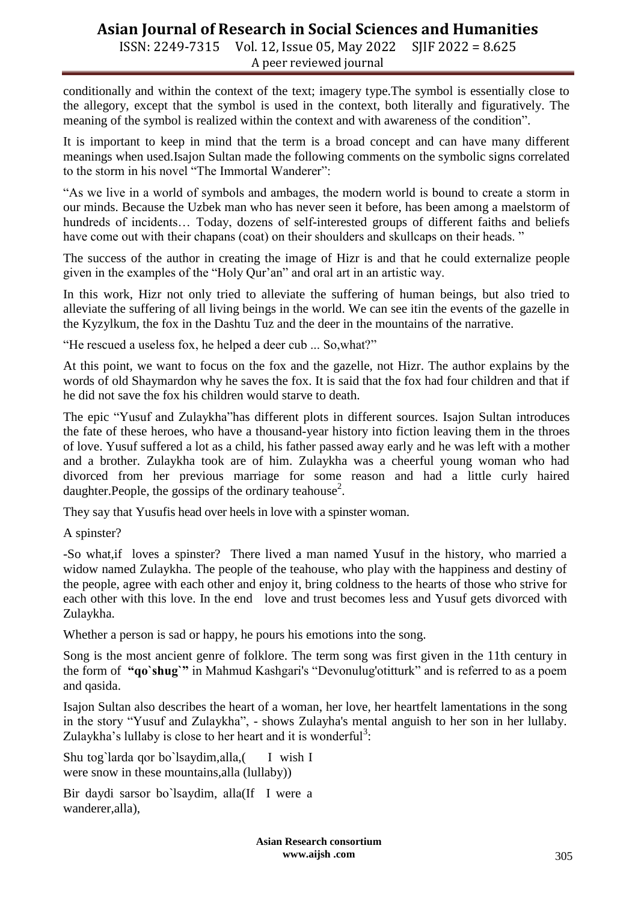# **Asian Journal of Research in Social Sciences and Humanities**

ISSN: 2249-7315 Vol. 12, Issue 05, May 2022 SJIF 2022 = 8.625 A peer reviewed journal

conditionally and within the context of the text; imagery type.The symbol is essentially close to the allegory, except that the symbol is used in the context, both literally and figuratively. The meaning of the symbol is realized within the context and with awareness of the condition".

It is important to keep in mind that the term is a broad concept and can have many different meanings when used.Isajon Sultan made the following comments on the symbolic signs correlated to the storm in his novel "The Immortal Wanderer":

"As we live in a world of symbols and ambages, the modern world is bound to create a storm in our minds. Because the Uzbek man who has never seen it before, has been among a maelstorm of hundreds of incidents... Today, dozens of self-interested groups of different faiths and beliefs have come out with their chapans (coat) on their shoulders and skullcaps on their heads."

The success of the author in creating the image of Hizr is and that he could externalize people given in the examples of the "Holy Qur'an" and oral art in an artistic way.

In this work, Hizr not only tried to alleviate the suffering of human beings, but also tried to alleviate the suffering of all living beings in the world. We can see itin the events of the gazelle in the Kyzylkum, the fox in the Dashtu Tuz and the deer in the mountains of the narrative.

"He rescued a useless fox, he helped a deer cub ... So,what?"

At this point, we want to focus on the fox and the gazelle, not Hizr. The author explains by the words of old Shaymardon why he saves the fox. It is said that the fox had four children and that if he did not save the fox his children would starve to death.

The epic "Yusuf and Zulaykha"has different plots in different sources. Isajon Sultan introduces the fate of these heroes, who have a thousand-year history into fiction leaving them in the throes of love. Yusuf suffered a lot as a child, his father passed away early and he was left with a mother and a brother. Zulaykha took are of him. Zulaykha was a cheerful young woman who had divorced from her previous marriage for some reason and had a little curly haired daughter. People, the gossips of the ordinary teahouse<sup>2</sup>.

They say that Yusufis head over heels in love with a spinster woman.

A spinster?

-So what,if loves a spinster? There lived a man named Yusuf in the history, who married a widow named Zulaykha. The people of the teahouse, who play with the happiness and destiny of the people, agree with each other and enjoy it, bring coldness to the hearts of those who strive for each other with this love. In the end love and trust becomes less and Yusuf gets divorced with Zulaykha.

Whether a person is sad or happy, he pours his emotions into the song.

Song is the most ancient genre of folklore. The term song was first given in the 11th century in the form of **"qo`shug`"** in Mahmud Kashgari's "Devonulug'otitturk" and is referred to as a poem and qasida.

Isajon Sultan also describes the heart of a woman, her love, her heartfelt lamentations in the song in the story "Yusuf and Zulaykha", - shows Zulayha's mental anguish to her son in her lullaby. Zulaykha's lullaby is close to her heart and it is wonderful<sup>3</sup>:

Shu tog`larda qor bo`lsaydim,alla, [I wish I were snow in these mountains,alla (lullaby))

Bir dаydi sаrsоr bо`lsаydim, аllа(If I were a wanderer,alla),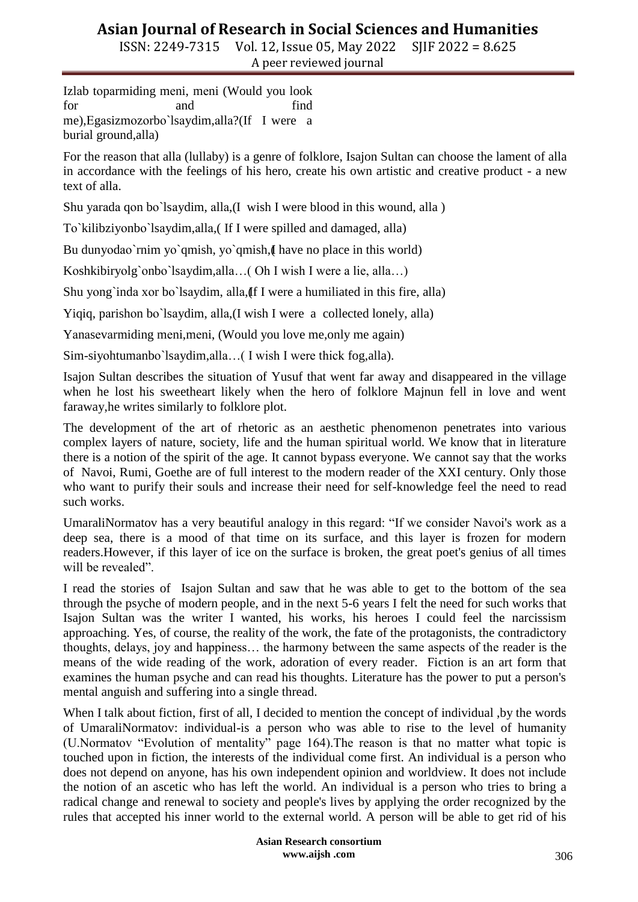ISSN: 2249-7315 Vol. 12, Issue 05, May 2022 SJIF 2022 = 8.625 A peer reviewed journal

Izlаb tоpаrmiding mеni, mеni (Would you look for and find me),Еgаsizmоzоrbо`lsаydim,аllа?(If I were a burial ground,alla)

For the reason that alla (lullaby) is a genre of folklore, Isajon Sultan can choose the lament of alla in accordance with the feelings of his hero, create his own artistic and creative product - a new text of alla.

Shu yаrаdа qоn bо`lsаydim, аllа,(I wish I were blood in this wound, alla )

Tо`kilibziyоnbо`lsаydim,аllа,( If I were spilled and damaged, alla)

Bu dunyodao`rnim yo`qmish, yo`qmish, I have no place in this world)

Kоshkibiryоlg`оnbо`lsаydim,аllа…( Oh I wish I were a lie, alla…)

Shu yong`inda xor bo`lsaydim, alla, If I were a humiliated in this fire, alla)

Yiqiq, pаrishоn bо`lsаydim, аllа,(I wish I were a collected lonely, alla)

Yаnаsеvаrmiding mеni,mеni, (Would you love me,only me again)

Sim-siyоhtumаnbо`lsаydim,аllа…( I wish I were thick fog,alla).

Isajon Sultan describes the situation of Yusuf that went far away and disappeared in the village when he lost his sweetheart likely when the hero of folklore Majnun fell in love and went faraway,he writes similarly to folklore plot.

The development of the art of rhetoric as an aesthetic phenomenon penetrates into various complex layers of nature, society, life and the human spiritual world. We know that in literature there is a notion of the spirit of the age. It cannot bypass everyone. We cannot say that the works of Navoi, Rumi, Goethe are of full interest to the modern reader of the XXI century. Only those who want to purify their souls and increase their need for self-knowledge feel the need to read such works.

UmaraliNormatov has a very beautiful analogy in this regard: "If we consider Navoi's work as a deep sea, there is a mood of that time on its surface, and this layer is frozen for modern readers.However, if this layer of ice on the surface is broken, the great poet's genius of all times will be revealed".

I read the stories of Isajon Sultan and saw that he was able to get to the bottom of the sea through the psyche of modern people, and in the next 5-6 years I felt the need for such works that Isajon Sultan was the writer I wanted, his works, his heroes I could feel the narcissism approaching. Yes, of course, the reality of the work, the fate of the protagonists, the contradictory thoughts, delays, joy and happiness… the harmony between the same aspects of the reader is the means of the wide reading of the work, adoration of every reader. Fiction is an art form that examines the human psyche and can read his thoughts. Literature has the power to put a person's mental anguish and suffering into a single thread.

When I talk about fiction, first of all, I decided to mention the concept of individual , by the words of UmaraliNormatov: individual-is a person who was able to rise to the level of humanity (U.Normatov "Evolution of mentality" page 164).The reason is that no matter what topic is touched upon in fiction, the interests of the individual come first. An individual is a person who does not depend on anyone, has his own independent opinion and worldview. It does not include the notion of an ascetic who has left the world. An individual is a person who tries to bring a radical change and renewal to society and people's lives by applying the order recognized by the rules that accepted his inner world to the external world. A person will be able to get rid of his